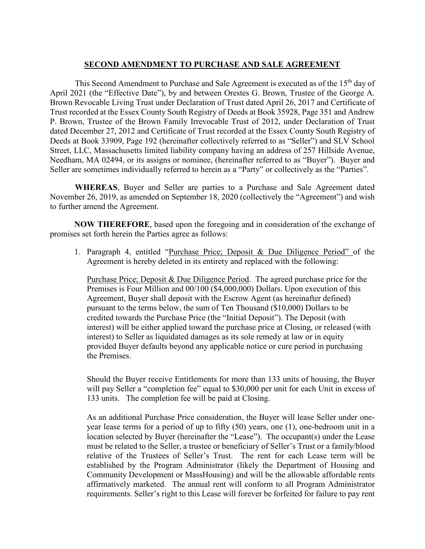## **SECOND AMENDMENT TO PURCHASE AND SALE AGREEMENT**

This Second Amendment to Purchase and Sale Agreement is executed as of the 15<sup>th</sup> day of April 2021 (the "Effective Date"), by and between Orestes G. Brown, Trustee of the George A. Brown Revocable Living Trust under Declaration of Trust dated April 26, 2017 and Certificate of Trust recorded at the Essex County South Registry of Deeds at Book 35928, Page 351 and Andrew P. Brown, Trustee of the Brown Family Irrevocable Trust of 2012, under Declaration of Trust dated December 27, 2012 and Certificate of Trust recorded at the Essex County South Registry of Deeds at Book 33909, Page 192 (hereinafter collectively referred to as "Seller") and SLV School Street, LLC, Massachusetts limited liability company having an address of 257 Hillside Avenue, Needham, MA 02494, or its assigns or nominee, (hereinafter referred to as "Buyer"). Buyer and Seller are sometimes individually referred to herein as a "Party" or collectively as the "Parties".

**WHEREAS**, Buyer and Seller are parties to a Purchase and Sale Agreement dated November 26, 2019, as amended on September 18, 2020 (collectively the "Agreement") and wish to further amend the Agreement.

**NOW THEREFORE**, based upon the foregoing and in consideration of the exchange of promises set forth herein the Parties agree as follows:

1. Paragraph 4, entitled "Purchase Price; Deposit & Due Diligence Period" of the Agreement is hereby deleted in its entirety and replaced with the following:

Purchase Price; Deposit & Due Diligence Period. The agreed purchase price for the Premises is Four Million and 00/100 (\$4,000,000) Dollars. Upon execution of this Agreement, Buyer shall deposit with the Escrow Agent (as hereinafter defined) pursuant to the terms below, the sum of Ten Thousand (\$10,000) Dollars to be credited towards the Purchase Price (the "Initial Deposit"). The Deposit (with interest) will be either applied toward the purchase price at Closing, or released (with interest) to Seller as liquidated damages as its sole remedy at law or in equity provided Buyer defaults beyond any applicable notice or cure period in purchasing the Premises.

Should the Buyer receive Entitlements for more than 133 units of housing, the Buyer will pay Seller a "completion fee" equal to \$30,000 per unit for each Unit in excess of 133 units. The completion fee will be paid at Closing.

As an additional Purchase Price consideration, the Buyer will lease Seller under oneyear lease terms for a period of up to fifty (50) years, one (1), one-bedroom unit in a location selected by Buyer (hereinafter the "Lease"). The occupant(s) under the Lease must be related to the Seller, a trustee or beneficiary of Seller's Trust or a family/blood relative of the Trustees of Seller's Trust. The rent for each Lease term will be established by the Program Administrator (likely the Department of Housing and Community Development or MassHousing) and will be the allowable affordable rents affirmatively marketed. The annual rent will conform to all Program Administrator requirements. Seller's right to this Lease will forever be forfeited for failure to pay rent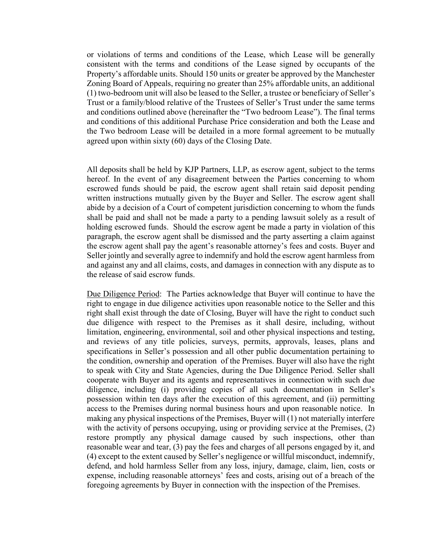or violations of terms and conditions of the Lease, which Lease will be generally consistent with the terms and conditions of the Lease signed by occupants of the Property's affordable units. Should 150 units or greater be approved by the Manchester Zoning Board of Appeals, requiring no greater than 25% affordable units, an additional (1) two-bedroom unit will also be leased to the Seller, a trustee or beneficiary of Seller's Trust or a family/blood relative of the Trustees of Seller's Trust under the same terms and conditions outlined above (hereinafter the "Two bedroom Lease"). The final terms and conditions of this additional Purchase Price consideration and both the Lease and the Two bedroom Lease will be detailed in a more formal agreement to be mutually agreed upon within sixty (60) days of the Closing Date.

All deposits shall be held by KJP Partners, LLP, as escrow agent, subject to the terms hereof. In the event of any disagreement between the Parties concerning to whom escrowed funds should be paid, the escrow agent shall retain said deposit pending written instructions mutually given by the Buyer and Seller. The escrow agent shall abide by a decision of a Court of competent jurisdiction concerning to whom the funds shall be paid and shall not be made a party to a pending lawsuit solely as a result of holding escrowed funds. Should the escrow agent be made a party in violation of this paragraph, the escrow agent shall be dismissed and the party asserting a claim against the escrow agent shall pay the agent's reasonable attorney's fees and costs. Buyer and Seller jointly and severally agree to indemnify and hold the escrow agent harmless from and against any and all claims, costs, and damages in connection with any dispute as to the release of said escrow funds.

Due Diligence Period: The Parties acknowledge that Buyer will continue to have the right to engage in due diligence activities upon reasonable notice to the Seller and this right shall exist through the date of Closing, Buyer will have the right to conduct such due diligence with respect to the Premises as it shall desire, including, without limitation, engineering, environmental, soil and other physical inspections and testing, and reviews of any title policies, surveys, permits, approvals, leases, plans and specifications in Seller's possession and all other public documentation pertaining to the condition, ownership and operation of the Premises. Buyer will also have the right to speak with City and State Agencies, during the Due Diligence Period. Seller shall cooperate with Buyer and its agents and representatives in connection with such due diligence, including (i) providing copies of all such documentation in Seller's possession within ten days after the execution of this agreement, and (ii) permitting access to the Premises during normal business hours and upon reasonable notice. In making any physical inspections of the Premises, Buyer will (1) not materially interfere with the activity of persons occupying, using or providing service at the Premises, (2) restore promptly any physical damage caused by such inspections, other than reasonable wear and tear, (3) pay the fees and charges of all persons engaged by it, and (4) except to the extent caused by Seller's negligence or willful misconduct, indemnify, defend, and hold harmless Seller from any loss, injury, damage, claim, lien, costs or expense, including reasonable attorneys' fees and costs, arising out of a breach of the foregoing agreements by Buyer in connection with the inspection of the Premises.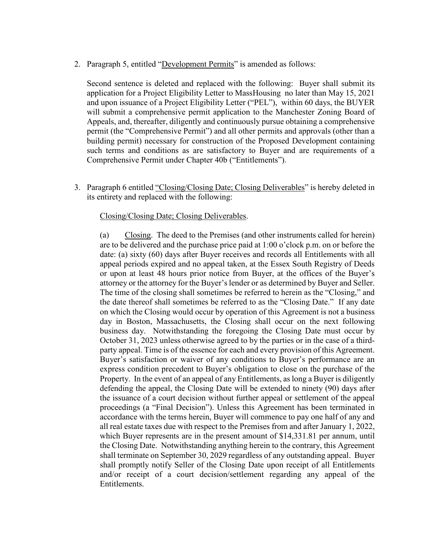2. Paragraph 5, entitled "Development Permits" is amended as follows:

Second sentence is deleted and replaced with the following: Buyer shall submit its application for a Project Eligibility Letter to MassHousing no later than May 15, 2021 and upon issuance of a Project Eligibility Letter ("PEL"), within 60 days, the BUYER will submit a comprehensive permit application to the Manchester Zoning Board of Appeals, and, thereafter, diligently and continuously pursue obtaining a comprehensive permit (the "Comprehensive Permit") and all other permits and approvals (other than a building permit) necessary for construction of the Proposed Development containing such terms and conditions as are satisfactory to Buyer and are requirements of a Comprehensive Permit under Chapter 40b ("Entitlements").

3. Paragraph 6 entitled "Closing/Closing Date; Closing Deliverables" is hereby deleted in its entirety and replaced with the following:

## Closing/Closing Date; Closing Deliverables.

(a) Closing. The deed to the Premises (and other instruments called for herein) are to be delivered and the purchase price paid at 1:00 o'clock p.m. on or before the date: (a) sixty (60) days after Buyer receives and records all Entitlements with all appeal periods expired and no appeal taken, at the Essex South Registry of Deeds or upon at least 48 hours prior notice from Buyer, at the offices of the Buyer's attorney or the attorney for the Buyer's lender or as determined by Buyer and Seller. The time of the closing shall sometimes be referred to herein as the "Closing," and the date thereof shall sometimes be referred to as the "Closing Date." If any date on which the Closing would occur by operation of this Agreement is not a business day in Boston, Massachusetts, the Closing shall occur on the next following business day. Notwithstanding the foregoing the Closing Date must occur by October 31, 2023 unless otherwise agreed to by the parties or in the case of a thirdparty appeal. Time is of the essence for each and every provision of this Agreement. Buyer's satisfaction or waiver of any conditions to Buyer's performance are an express condition precedent to Buyer's obligation to close on the purchase of the Property. In the event of an appeal of any Entitlements, as long a Buyer is diligently defending the appeal, the Closing Date will be extended to ninety (90) days after the issuance of a court decision without further appeal or settlement of the appeal proceedings (a "Final Decision"). Unless this Agreement has been terminated in accordance with the terms herein, Buyer will commence to pay one half of any and all real estate taxes due with respect to the Premises from and after January 1, 2022, which Buyer represents are in the present amount of \$14,331.81 per annum, until the Closing Date. Notwithstanding anything herein to the contrary, this Agreement shall terminate on September 30, 2029 regardless of any outstanding appeal. Buyer shall promptly notify Seller of the Closing Date upon receipt of all Entitlements and/or receipt of a court decision/settlement regarding any appeal of the Entitlements.